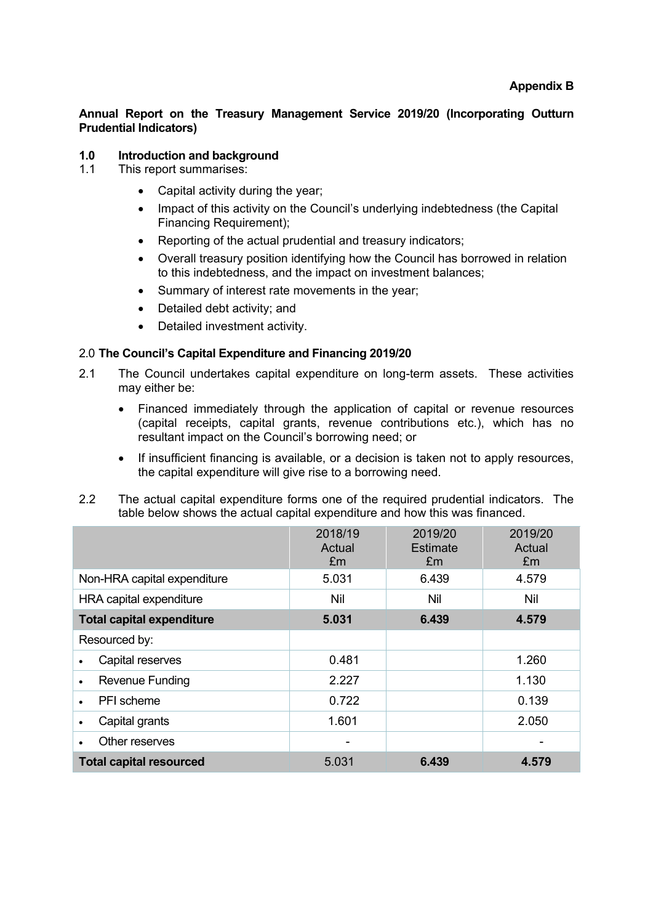**Annual Report on the Treasury Management Service 2019/20 (Incorporating Outturn Prudential Indicators)**

# **1.0 Introduction and background**

- 1.1 This report summarises:
	- Capital activity during the year;
	- Impact of this activity on the Council's underlying indebtedness (the Capital Financing Requirement);
	- Reporting of the actual prudential and treasury indicators:
	- Overall treasury position identifying how the Council has borrowed in relation to this indebtedness, and the impact on investment balances;
	- Summary of interest rate movements in the year;
	- Detailed debt activity; and
	- Detailed investment activity.

# 2.0 **The Council's Capital Expenditure and Financing 2019/20**

- 2.1 The Council undertakes capital expenditure on long-term assets. These activities may either be:
	- Financed immediately through the application of capital or revenue resources (capital receipts, capital grants, revenue contributions etc.), which has no resultant impact on the Council's borrowing need; or
	- If insufficient financing is available, or a decision is taken not to apply resources, the capital expenditure will give rise to a borrowing need.
- 2.2 The actual capital expenditure forms one of the required prudential indicators. The table below shows the actual capital expenditure and how this was financed.

|                                  | 2018/19<br>Actual<br>£m | 2019/20<br>Estimate<br>Em | 2019/20<br>Actual<br>Em |
|----------------------------------|-------------------------|---------------------------|-------------------------|
| Non-HRA capital expenditure      | 5.031                   | 6.439                     | 4.579                   |
| HRA capital expenditure          | Nil                     | Nil                       | Nil                     |
| <b>Total capital expenditure</b> | 5.031                   | 6.439                     | 4.579                   |
| Resourced by:                    |                         |                           |                         |
| Capital reserves                 | 0.481                   |                           | 1.260                   |
| Revenue Funding                  | 2.227                   |                           | 1.130                   |
| PFI scheme                       | 0.722                   |                           | 0.139                   |
| Capital grants                   | 1.601                   |                           | 2.050                   |
| Other reserves                   | ۰                       |                           |                         |
| <b>Total capital resourced</b>   | 5.031                   | 6.439                     | 4.579                   |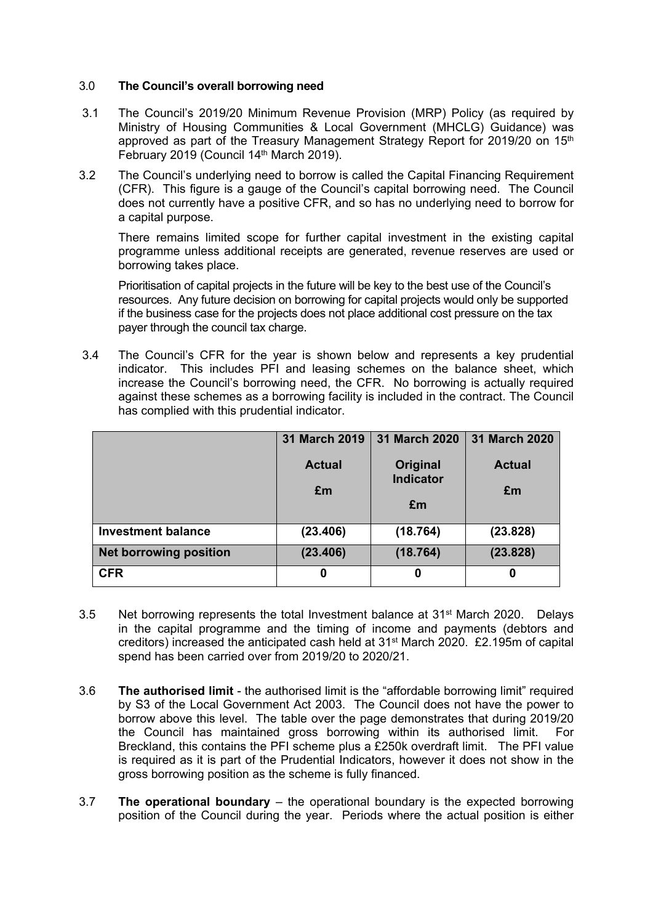## 3.0 **The Council's overall borrowing need**

- 3.1 The Council's 2019/20 Minimum Revenue Provision (MRP) Policy (as required by Ministry of Housing Communities & Local Government (MHCLG) Guidance) was approved as part of the Treasury Management Strategy Report for 2019/20 on 15<sup>th</sup> February 2019 (Council 14<sup>th</sup> March 2019).
- 3.2 The Council's underlying need to borrow is called the Capital Financing Requirement (CFR). This figure is a gauge of the Council's capital borrowing need. The Council does not currently have a positive CFR, and so has no underlying need to borrow for a capital purpose.

There remains limited scope for further capital investment in the existing capital programme unless additional receipts are generated, revenue reserves are used or borrowing takes place.

Prioritisation of capital projects in the future will be key to the best use of the Council's resources. Any future decision on borrowing for capital projects would only be supported if the business case for the projects does not place additional cost pressure on the tax payer through the council tax charge.

3.4 The Council's CFR for the year is shown below and represents a key prudential indicator. This includes PFI and leasing schemes on the balance sheet, which increase the Council's borrowing need, the CFR. No borrowing is actually required against these schemes as a borrowing facility is included in the contract. The Council has complied with this prudential indicator.

|                               | 31 March 2019 | 31 March 2020                | 31 March 2020 |
|-------------------------------|---------------|------------------------------|---------------|
|                               | <b>Actual</b> | Original<br><b>Indicator</b> | <b>Actual</b> |
|                               | £m            |                              | £m            |
|                               |               | £m                           |               |
| <b>Investment balance</b>     | (23.406)      | (18.764)                     | (23.828)      |
| <b>Net borrowing position</b> | (23.406)      | (18.764)                     | (23.828)      |
| <b>CFR</b>                    | 0             | 0                            | 0             |

- $3.5$  Net borrowing represents the total Investment balance at  $31<sup>st</sup>$  March 2020. Delays in the capital programme and the timing of income and payments (debtors and creditors) increased the anticipated cash held at 31st March 2020. £2.195m of capital spend has been carried over from 2019/20 to 2020/21.
- 3.6 **The authorised limit** the authorised limit is the "affordable borrowing limit" required by S3 of the Local Government Act 2003. The Council does not have the power to borrow above this level. The table over the page demonstrates that during 2019/20 the Council has maintained gross borrowing within its authorised limit. For Breckland, this contains the PFI scheme plus a £250k overdraft limit. The PFI value is required as it is part of the Prudential Indicators, however it does not show in the gross borrowing position as the scheme is fully financed.
- 3.7 **The operational boundary** the operational boundary is the expected borrowing position of the Council during the year. Periods where the actual position is either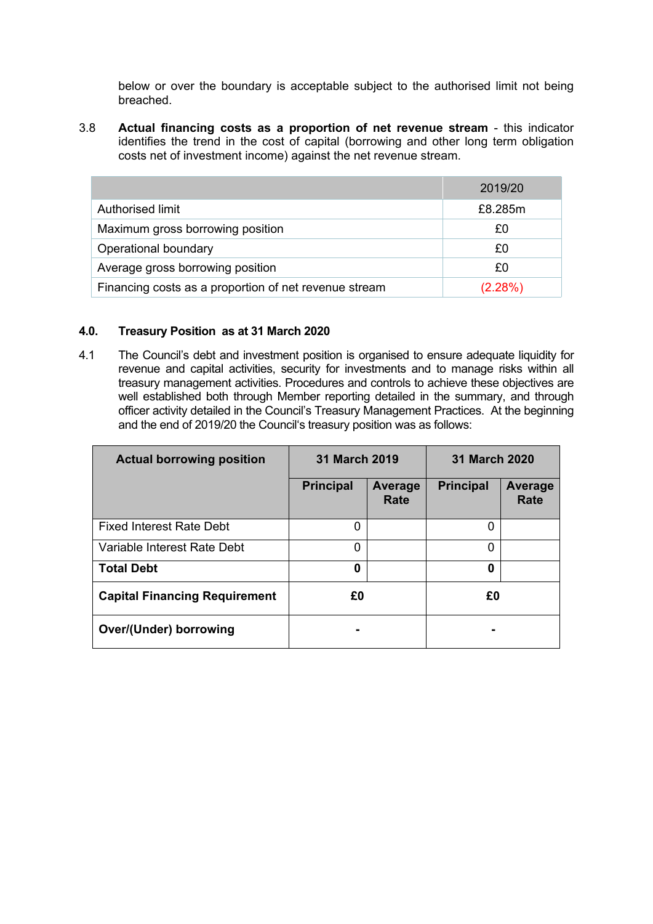below or over the boundary is acceptable subject to the authorised limit not being breached.

3.8 **Actual financing costs as a proportion of net revenue stream** - this indicator identifies the trend in the cost of capital (borrowing and other long term obligation costs net of investment income) against the net revenue stream.

|                                                       | 2019/20 |
|-------------------------------------------------------|---------|
| Authorised limit                                      | £8.285m |
| Maximum gross borrowing position                      | £0      |
| Operational boundary                                  | £0      |
| Average gross borrowing position                      | £0      |
| Financing costs as a proportion of net revenue stream | (2.28%) |

## **4.0. Treasury Position as at 31 March 2020**

4.1 The Council's debt and investment position is organised to ensure adequate liquidity for revenue and capital activities, security for investments and to manage risks within all treasury management activities. Procedures and controls to achieve these objectives are well established both through Member reporting detailed in the summary, and through officer activity detailed in the Council's Treasury Management Practices. At the beginning and the end of 2019/20 the Council's treasury position was as follows:

| <b>Actual borrowing position</b>     | 31 March 2019    |                 | 31 March 2020    |                 |
|--------------------------------------|------------------|-----------------|------------------|-----------------|
|                                      | <b>Principal</b> | Average<br>Rate | <b>Principal</b> | Average<br>Rate |
| <b>Fixed Interest Rate Debt</b>      | 0                |                 | 0                |                 |
| Variable Interest Rate Debt          | 0                |                 | 0                |                 |
| <b>Total Debt</b>                    | 0                |                 | 0                |                 |
| <b>Capital Financing Requirement</b> | £0               |                 | £0               |                 |
| <b>Over/(Under) borrowing</b>        |                  |                 |                  |                 |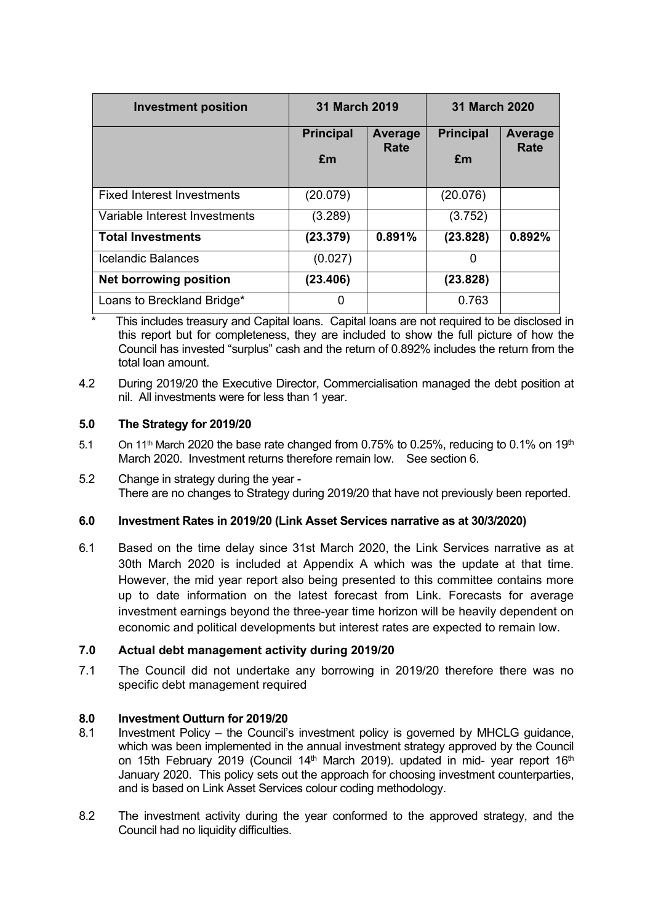| <b>Investment position</b>        | <b>31 March 2019</b>   |                        | <b>31 March 2020</b>   |                 |
|-----------------------------------|------------------------|------------------------|------------------------|-----------------|
|                                   | <b>Principal</b><br>£m | <b>Average</b><br>Rate | <b>Principal</b><br>£m | Average<br>Rate |
| <b>Fixed Interest Investments</b> | (20.079)               |                        | (20.076)               |                 |
| Variable Interest Investments     | (3.289)                |                        | (3.752)                |                 |
| <b>Total Investments</b>          | (23.379)               | 0.891%                 | (23.828)               | 0.892%          |
| Icelandic Balances                | (0.027)                |                        | 0                      |                 |
| <b>Net borrowing position</b>     | (23.406)               |                        | (23.828)               |                 |
| Loans to Breckland Bridge*        | 0                      |                        | 0.763                  |                 |

This includes treasury and Capital loans. Capital loans are not required to be disclosed in this report but for completeness, they are included to show the full picture of how the Council has invested "surplus" cash and the return of 0.892% includes the return from the total loan amount.

4.2 During 2019/20 the Executive Director, Commercialisation managed the debt position at nil. All investments were for less than 1 year.

# **5.0 The Strategy for 2019/20**

- 5.1 On 11<sup>th</sup> March 2020 the base rate changed from 0.75% to 0.25%, reducing to 0.1% on 19<sup>th</sup> March 2020. Investment returns therefore remain low. See section 6.
- 5.2 Change in strategy during the year There are no changes to Strategy during 2019/20 that have not previously been reported.

## **6.0 Investment Rates in 2019/20 (Link Asset Services narrative as at 30/3/2020)**

6.1 Based on the time delay since 31st March 2020, the Link Services narrative as at 30th March 2020 is included at Appendix A which was the update at that time. However, the mid year report also being presented to this committee contains more up to date information on the latest forecast from Link. Forecasts for average investment earnings beyond the three-year time horizon will be heavily dependent on economic and political developments but interest rates are expected to remain low.

## **7.0 Actual debt management activity during 2019/20**

7.1 The Council did not undertake any borrowing in 2019/20 therefore there was no specific debt management required

## **8.0 Investment Outturn for 2019/20**

- 8.1 Investment Policy the Council's investment policy is governed by MHCLG guidance, which was been implemented in the annual investment strategy approved by the Council on 15th February 2019 (Council 14<sup>th</sup> March 2019). updated in mid- year report 16<sup>th</sup> January 2020. This policy sets out the approach for choosing investment counterparties, and is based on Link Asset Services colour coding methodology.
- 8.2 The investment activity during the year conformed to the approved strategy, and the Council had no liquidity difficulties.